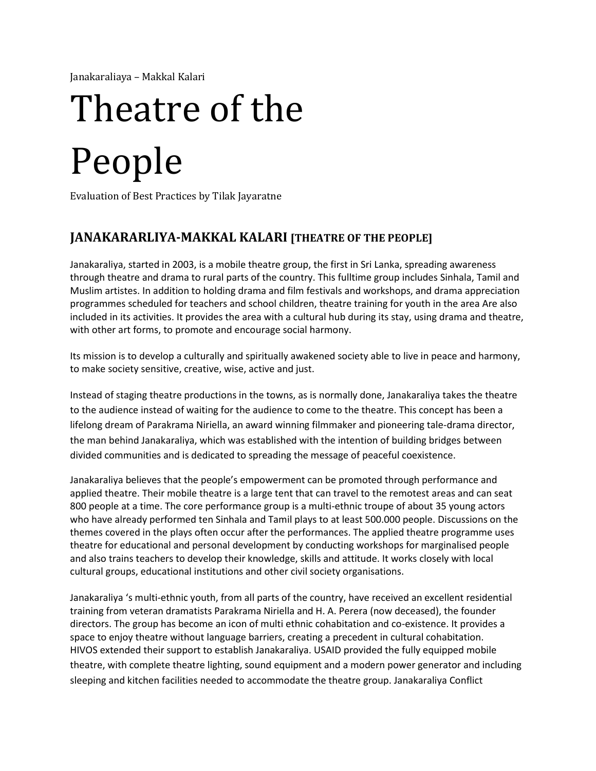Janakaraliaya – Makkal Kalari

# Theatre of the People

Evaluation of Best Practices by Tilak Jayaratne

# **JANAKARARLIYA-MAKKAL KALARI [THEATRE OF THE PEOPLE]**

Janakaraliya, started in 2003, is a mobile theatre group, the first in Sri Lanka, spreading awareness through theatre and drama to rural parts of the country. This fulltime group includes Sinhala, Tamil and Muslim artistes. In addition to holding drama and film festivals and workshops, and drama appreciation programmes scheduled for teachers and school children, theatre training for youth in the area Are also included in its activities. It provides the area with a cultural hub during its stay, using drama and theatre, with other art forms, to promote and encourage social harmony.

Its mission is to develop a culturally and spiritually awakened society able to live in peace and harmony, to make society sensitive, creative, wise, active and just.

Instead of staging theatre productions in the towns, as is normally done, Janakaraliya takes the theatre to the audience instead of waiting for the audience to come to the theatre. This concept has been a lifelong dream of Parakrama Niriella, an award winning filmmaker and pioneering tale-drama director, the man behind Janakaraliya, which was established with the intention of building bridges between divided communities and is dedicated to spreading the message of peaceful coexistence.

Janakaraliya believes that the people's empowerment can be promoted through performance and applied theatre. Their mobile theatre is a large tent that can travel to the remotest areas and can seat 800 people at a time. The core performance group is a multi-ethnic troupe of about 35 young actors who have already performed ten Sinhala and Tamil plays to at least 500.000 people. Discussions on the themes covered in the plays often occur after the performances. The applied theatre programme uses theatre for educational and personal development by conducting workshops for marginalised people and also trains teachers to develop their knowledge, skills and attitude. It works closely with local cultural groups, educational institutions and other civil society organisations.

Janakaraliya 's multi-ethnic youth, from all parts of the country, have received an excellent residential training from veteran dramatists Parakrama Niriella and H. A. Perera (now deceased), the founder directors. The group has become an icon of multi ethnic cohabitation and co-existence. It provides a space to enjoy theatre without language barriers, creating a precedent in cultural cohabitation. HIVOS extended their support to establish Janakaraliya. USAID provided the fully equipped mobile theatre, with complete theatre lighting, sound equipment and a modern power generator and including sleeping and kitchen facilities needed to accommodate the theatre group. Janakaraliya Conflict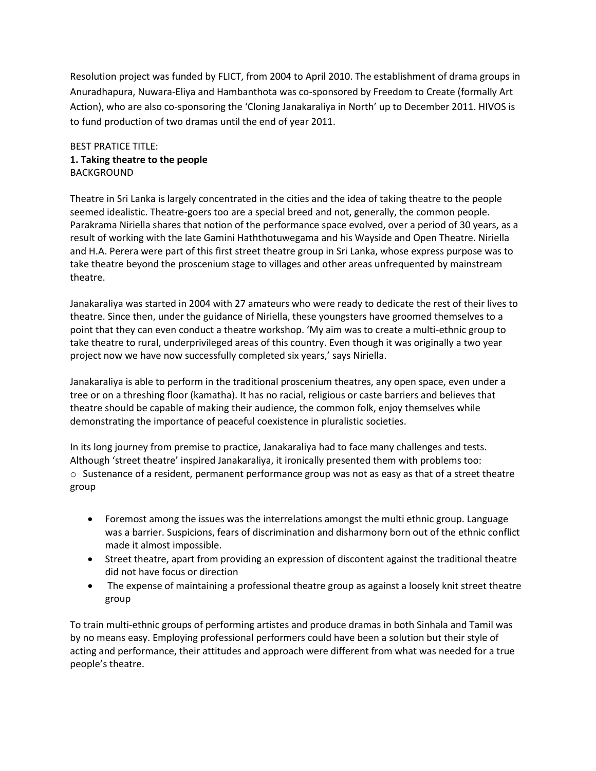Resolution project was funded by FLICT, from 2004 to April 2010. The establishment of drama groups in Anuradhapura, Nuwara-Eliya and Hambanthota was co-sponsored by Freedom to Create (formally Art Action), who are also co-sponsoring the 'Cloning Janakaraliya in North' up to December 2011. HIVOS is to fund production of two dramas until the end of year 2011.

## BEST PRATICE TITLE: **1. Taking theatre to the people**  BACKGROUND

Theatre in Sri Lanka is largely concentrated in the cities and the idea of taking theatre to the people seemed idealistic. Theatre-goers too are a special breed and not, generally, the common people. Parakrama Niriella shares that notion of the performance space evolved, over a period of 30 years, as a result of working with the late Gamini Haththotuwegama and his Wayside and Open Theatre. Niriella and H.A. Perera were part of this first street theatre group in Sri Lanka, whose express purpose was to take theatre beyond the proscenium stage to villages and other areas unfrequented by mainstream theatre.

Janakaraliya was started in 2004 with 27 amateurs who were ready to dedicate the rest of their lives to theatre. Since then, under the guidance of Niriella, these youngsters have groomed themselves to a point that they can even conduct a theatre workshop. 'My aim was to create a multi-ethnic group to take theatre to rural, underprivileged areas of this country. Even though it was originally a two year project now we have now successfully completed six years,' says Niriella.

Janakaraliya is able to perform in the traditional proscenium theatres, any open space, even under a tree or on a threshing floor (kamatha). It has no racial, religious or caste barriers and believes that theatre should be capable of making their audience, the common folk, enjoy themselves while demonstrating the importance of peaceful coexistence in pluralistic societies.

In its long journey from premise to practice, Janakaraliya had to face many challenges and tests. Although 'street theatre' inspired Janakaraliya, it ironically presented them with problems too:  $\circ$  Sustenance of a resident, permanent performance group was not as easy as that of a street theatre group

- Foremost among the issues was the interrelations amongst the multi ethnic group. Language was a barrier. Suspicions, fears of discrimination and disharmony born out of the ethnic conflict made it almost impossible.
- Street theatre, apart from providing an expression of discontent against the traditional theatre did not have focus or direction
- The expense of maintaining a professional theatre group as against a loosely knit street theatre group

To train multi-ethnic groups of performing artistes and produce dramas in both Sinhala and Tamil was by no means easy. Employing professional performers could have been a solution but their style of acting and performance, their attitudes and approach were different from what was needed for a true people's theatre.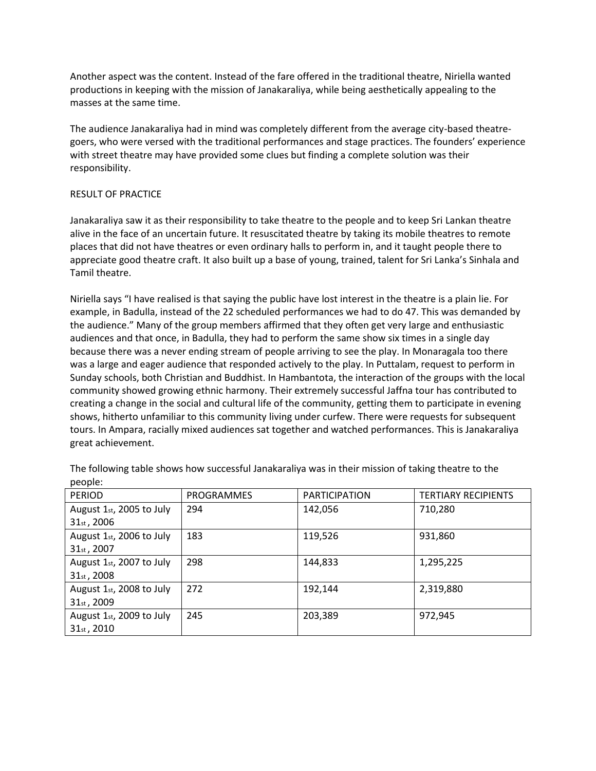Another aspect was the content. Instead of the fare offered in the traditional theatre, Niriella wanted productions in keeping with the mission of Janakaraliya, while being aesthetically appealing to the masses at the same time.

The audience Janakaraliya had in mind was completely different from the average city-based theatregoers, who were versed with the traditional performances and stage practices. The founders' experience with street theatre may have provided some clues but finding a complete solution was their responsibility.

#### RESULT OF PRACTICE

Janakaraliya saw it as their responsibility to take theatre to the people and to keep Sri Lankan theatre alive in the face of an uncertain future. It resuscitated theatre by taking its mobile theatres to remote places that did not have theatres or even ordinary halls to perform in, and it taught people there to appreciate good theatre craft. It also built up a base of young, trained, talent for Sri Lanka's Sinhala and Tamil theatre.

Niriella says "I have realised is that saying the public have lost interest in the theatre is a plain lie. For example, in Badulla, instead of the 22 scheduled performances we had to do 47. This was demanded by the audience." Many of the group members affirmed that they often get very large and enthusiastic audiences and that once, in Badulla, they had to perform the same show six times in a single day because there was a never ending stream of people arriving to see the play. In Monaragala too there was a large and eager audience that responded actively to the play. In Puttalam, request to perform in Sunday schools, both Christian and Buddhist. In Hambantota, the interaction of the groups with the local community showed growing ethnic harmony. Their extremely successful Jaffna tour has contributed to creating a change in the social and cultural life of the community, getting them to participate in evening shows, hitherto unfamiliar to this community living under curfew. There were requests for subsequent tours. In Ampara, racially mixed audiences sat together and watched performances. This is Janakaraliya great achievement.

| <b>PERIOD</b>            | PROGRAMMES | <b>PARTICIPATION</b> | <b>TERTIARY RECIPIENTS</b> |
|--------------------------|------------|----------------------|----------------------------|
| August 1st, 2005 to July | 294        | 142,056              | 710,280                    |
| $31_{st}$ , 2006         |            |                      |                            |
| August 1st, 2006 to July | 183        | 119,526              | 931,860                    |
| 31 <sub>st</sub> , 2007  |            |                      |                            |
| August 1st, 2007 to July | 298        | 144,833              | 1,295,225                  |
| $31st$ , 2008            |            |                      |                            |
| August 1st, 2008 to July | 272        | 192,144              | 2,319,880                  |
| $31_{st}$ , 2009         |            |                      |                            |
| August 1st, 2009 to July | 245        | 203,389              | 972,945                    |
| $31st$ , 2010            |            |                      |                            |

The following table shows how successful Janakaraliya was in their mission of taking theatre to the people: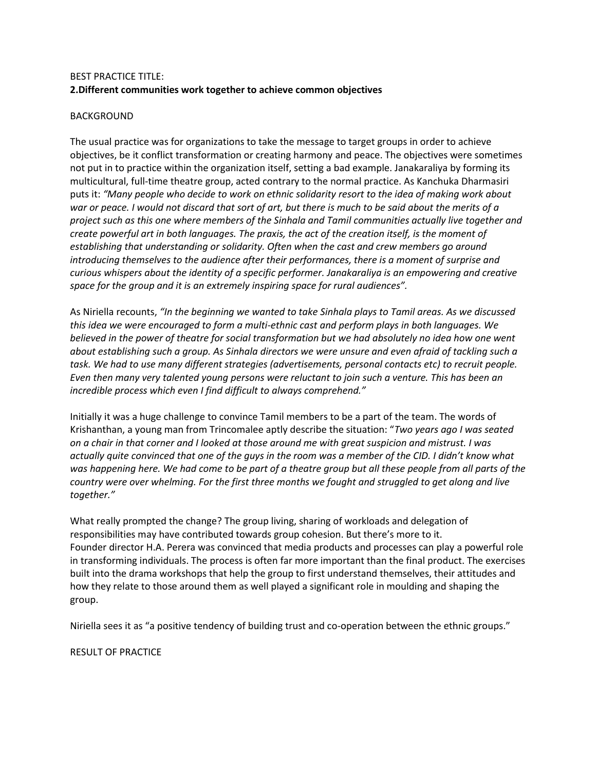## BEST PRACTICE TITLE: **2.Different communities work together to achieve common objectives**

#### BACKGROUND

The usual practice was for organizations to take the message to target groups in order to achieve objectives, be it conflict transformation or creating harmony and peace. The objectives were sometimes not put in to practice within the organization itself, setting a bad example. Janakaraliya by forming its multicultural, full-time theatre group, acted contrary to the normal practice. As Kanchuka Dharmasiri puts it: *"Many people who decide to work on ethnic solidarity resort to the idea of making work about war or peace. I would not discard that sort of art, but there is much to be said about the merits of a project such as this one where members of the Sinhala and Tamil communities actually live together and create powerful art in both languages. The praxis, the act of the creation itself, is the moment of establishing that understanding or solidarity. Often when the cast and crew members go around introducing themselves to the audience after their performances, there is a moment of surprise and curious whispers about the identity of a specific performer. Janakaraliya is an empowering and creative space for the group and it is an extremely inspiring space for rural audiences".* 

As Niriella recounts, *"In the beginning we wanted to take Sinhala plays to Tamil areas. As we discussed this idea we were encouraged to form a multi-ethnic cast and perform plays in both languages. We believed in the power of theatre for social transformation but we had absolutely no idea how one went about establishing such a group. As Sinhala directors we were unsure and even afraid of tackling such a task. We had to use many different strategies (advertisements, personal contacts etc) to recruit people. Even then many very talented young persons were reluctant to join such a venture. This has been an incredible process which even I find difficult to always comprehend."* 

Initially it was a huge challenge to convince Tamil members to be a part of the team. The words of Krishanthan, a young man from Trincomalee aptly describe the situation: "*Two years ago I was seated on a chair in that corner and I looked at those around me with great suspicion and mistrust. I was actually quite convinced that one of the guys in the room was a member of the CID. I didn't know what was happening here. We had come to be part of a theatre group but all these people from all parts of the country were over whelming. For the first three months we fought and struggled to get along and live together."* 

What really prompted the change? The group living, sharing of workloads and delegation of responsibilities may have contributed towards group cohesion. But there's more to it. Founder director H.A. Perera was convinced that media products and processes can play a powerful role in transforming individuals. The process is often far more important than the final product. The exercises built into the drama workshops that help the group to first understand themselves, their attitudes and how they relate to those around them as well played a significant role in moulding and shaping the group.

Niriella sees it as "a positive tendency of building trust and co-operation between the ethnic groups."

RESULT OF PRACTICE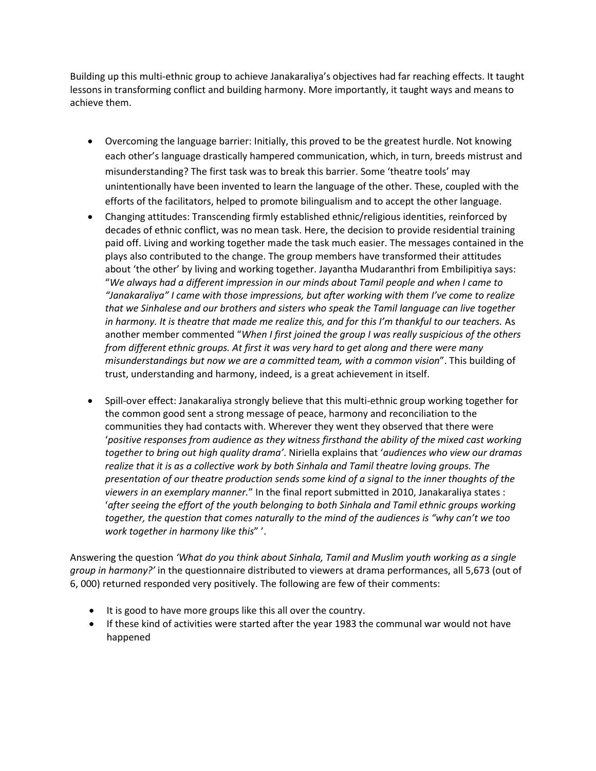Building up this multi-ethnic group to achieve Janakaraliya's objectives had far reaching effects. It taught lessons in transforming conflict and building harmony. More importantly, it taught ways and means to achieve them.

- Overcoming the language barrier: Initially, this proved to be the greatest hurdle. Not knowing each other's language drastically hampered communication, which, in turn, breeds mistrust and misunderstanding? The first task was to break this barrier. Some 'theatre tools' may unintentionally have been invented to learn the language of the other. These, coupled with the efforts of the facilitators, helped to promote bilingualism and to accept the other language.
- Changing attitudes: Transcending firmly established ethnic/religious identities, reinforced by decades of ethnic conflict, was no mean task. Here, the decision to provide residential training paid off. Living and working together made the task much easier. The messages contained in the plays also contributed to the change. The group members have transformed their attitudes about 'the other' by living and working together. Jayantha Mudaranthri from Embilipitiya says: "*We always had a different impression in our minds about Tamil people and when I came to "Janakaraliya" I came with those impressions, but after working with them I've come to realize that we Sinhalese and our brothers and sisters who speak the Tamil language can live together*  in harmony. It is theatre that made me realize this, and for this I'm thankful to our teachers. As another member commented "*When I first joined the group I was really suspicious of the others from different ethnic groups. At first it was very hard to get along and there were many misunderstandings but now we are a committed team, with a common vision*". This building of trust, understanding and harmony, indeed, is a great achievement in itself.
- Spill-over effect: Janakaraliya strongly believe that this multi-ethnic group working together for the common good sent a strong message of peace, harmony and reconciliation to the communities they had contacts with. Wherever they went they observed that there were '*positive responses from audience as they witness firsthand the ability of the mixed cast working together to bring out high quality drama'*. Niriella explains that '*audiences who view our dramas realize that it is as a collective work by both Sinhala and Tamil theatre loving groups. The presentation of our theatre production sends some kind of a signal to the inner thoughts of the viewers in an exemplary manner.*" In the final report submitted in 2010, Janakaraliya states : '*after seeing the effort of the youth belonging to both Sinhala and Tamil ethnic groups working together, the question that comes naturally to the mind of the audiences is "why can't we too work together in harmony like this*" '.

Answering the question *'What do you think about Sinhala, Tamil and Muslim youth working as a single group in harmony?'* in the questionnaire distributed to viewers at drama performances, all 5,673 (out of 6, 000) returned responded very positively. The following are few of their comments:

- It is good to have more groups like this all over the country.
- If these kind of activities were started after the year 1983 the communal war would not have happened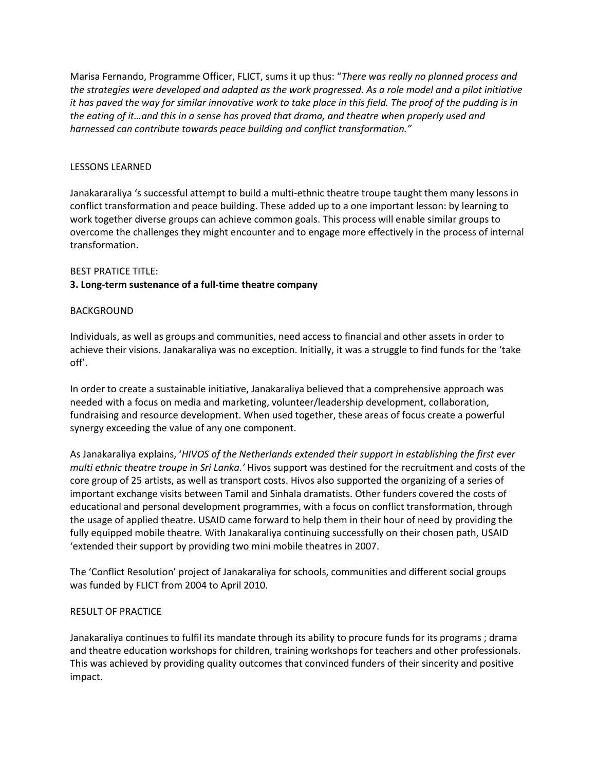Marisa Fernando, Programme Officer, FLICT, sums it up thus: "*There was really no planned process and the strategies were developed and adapted as the work progressed. As a role model and a pilot initiative it has paved the way for similar innovative work to take place in this field. The proof of the pudding is in the eating of it…and this in a sense has proved that drama, and theatre when properly used and harnessed can contribute towards peace building and conflict transformation."* 

#### LESSONS LEARNED

Janakararaliya 's successful attempt to build a multi-ethnic theatre troupe taught them many lessons in conflict transformation and peace building. These added up to a one important lesson: by learning to work together diverse groups can achieve common goals. This process will enable similar groups to overcome the challenges they might encounter and to engage more effectively in the process of internal transformation.

#### BEST PRATICE TITLE:

#### **3. Long-term sustenance of a full-time theatre company**

#### BACKGROUND

Individuals, as well as groups and communities, need access to financial and other assets in order to achieve their visions. Janakaraliya was no exception. Initially, it was a struggle to find funds for the 'take off'.

In order to create a sustainable initiative, Janakaraliya believed that a comprehensive approach was needed with a focus on media and marketing, volunteer/leadership development, collaboration, fundraising and resource development. When used together, these areas of focus create a powerful synergy exceeding the value of any one component.

As Janakaraliya explains, '*HIVOS of the Netherlands extended their support in establishing the first ever multi ethnic theatre troupe in Sri Lanka.'* Hivos support was destined for the recruitment and costs of the core group of 25 artists, as well as transport costs. Hivos also supported the organizing of a series of important exchange visits between Tamil and Sinhala dramatists. Other funders covered the costs of educational and personal development programmes, with a focus on conflict transformation, through the usage of applied theatre. USAID came forward to help them in their hour of need by providing the fully equipped mobile theatre. With Janakaraliya continuing successfully on their chosen path, USAID 'extended their support by providing two mini mobile theatres in 2007.

The 'Conflict Resolution' project of Janakaraliya for schools, communities and different social groups was funded by FLICT from 2004 to April 2010.

#### RESULT OF PRACTICE

Janakaraliya continues to fulfil its mandate through its ability to procure funds for its programs ; drama and theatre education workshops for children, training workshops for teachers and other professionals. This was achieved by providing quality outcomes that convinced funders of their sincerity and positive impact.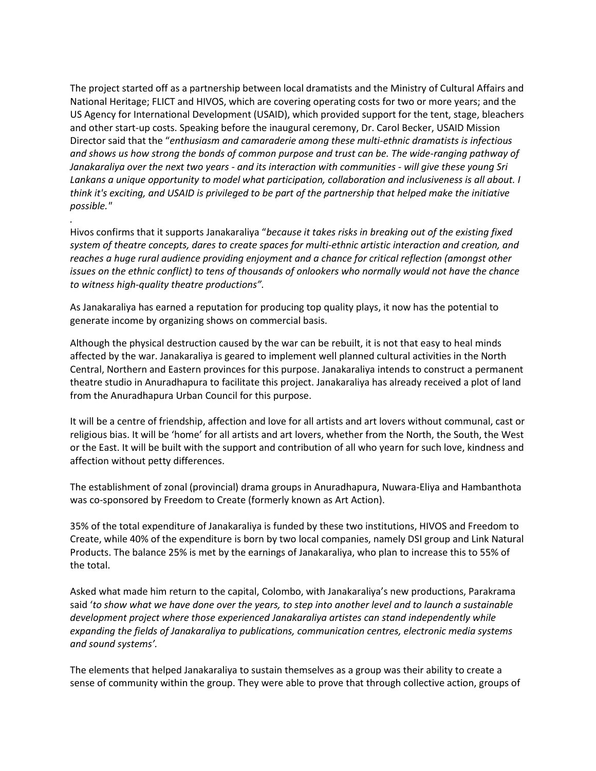The project started off as a partnership between local dramatists and the Ministry of Cultural Affairs and National Heritage; FLICT and HIVOS, which are covering operating costs for two or more years; and the US Agency for International Development (USAID), which provided support for the tent, stage, bleachers and other start-up costs. Speaking before the inaugural ceremony, Dr. Carol Becker, USAID Mission Director said that the "*enthusiasm and camaraderie among these multi-ethnic dramatists is infectious and shows us how strong the bonds of common purpose and trust can be. The wide-ranging pathway of Janakaraliya over the next two years - and its interaction with communities - will give these young Sri Lankans a unique opportunity to model what participation, collaboration and inclusiveness is all about. I think it's exciting, and USAID is privileged to be part of the partnership that helped make the initiative possible."* 

Hivos confirms that it supports Janakaraliya "*because it takes risks in breaking out of the existing fixed system of theatre concepts, dares to create spaces for multi-ethnic artistic interaction and creation, and reaches a huge rural audience providing enjoyment and a chance for critical reflection (amongst other issues on the ethnic conflict) to tens of thousands of onlookers who normally would not have the chance to witness high-quality theatre productions".* 

*.* 

As Janakaraliya has earned a reputation for producing top quality plays, it now has the potential to generate income by organizing shows on commercial basis.

Although the physical destruction caused by the war can be rebuilt, it is not that easy to heal minds affected by the war. Janakaraliya is geared to implement well planned cultural activities in the North Central, Northern and Eastern provinces for this purpose. Janakaraliya intends to construct a permanent theatre studio in Anuradhapura to facilitate this project. Janakaraliya has already received a plot of land from the Anuradhapura Urban Council for this purpose.

It will be a centre of friendship, affection and love for all artists and art lovers without communal, cast or religious bias. It will be 'home' for all artists and art lovers, whether from the North, the South, the West or the East. It will be built with the support and contribution of all who yearn for such love, kindness and affection without petty differences.

The establishment of zonal (provincial) drama groups in Anuradhapura, Nuwara-Eliya and Hambanthota was co-sponsored by Freedom to Create (formerly known as Art Action).

35% of the total expenditure of Janakaraliya is funded by these two institutions, HIVOS and Freedom to Create, while 40% of the expenditure is born by two local companies, namely DSI group and Link Natural Products. The balance 25% is met by the earnings of Janakaraliya, who plan to increase this to 55% of the total.

Asked what made him return to the capital, Colombo, with Janakaraliya's new productions, Parakrama said '*to show what we have done over the years, to step into another level and to launch a sustainable development project where those experienced Janakaraliya artistes can stand independently while expanding the fields of Janakaraliya to publications, communication centres, electronic media systems and sound systems'.* 

The elements that helped Janakaraliya to sustain themselves as a group was their ability to create a sense of community within the group. They were able to prove that through collective action, groups of